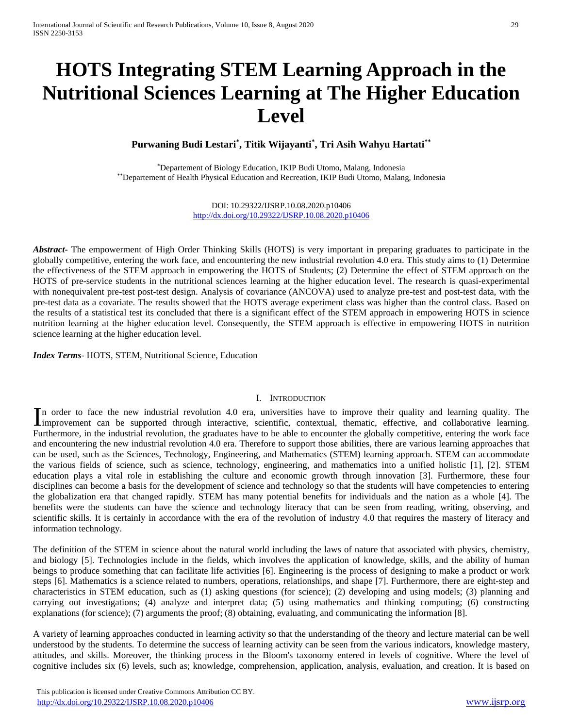# **HOTS Integrating STEM Learning Approach in the Nutritional Sciences Learning at The Higher Education Level**

**Purwaning Budi Lestari\* , Titik Wijayanti\* , Tri Asih Wahyu Hartati\*\***

\*Departement of Biology Education, IKIP Budi Utomo, Malang, Indonesia \*\*Departement of Health Physical Education and Recreation, IKIP Budi Utomo, Malang, Indonesia

> DOI: 10.29322/IJSRP.10.08.2020.p10406 <http://dx.doi.org/10.29322/IJSRP.10.08.2020.p10406>

*Abstract***-** The empowerment of High Order Thinking Skills (HOTS) is very important in preparing graduates to participate in the globally competitive, entering the work face, and encountering the new industrial revolution 4.0 era. This study aims to (1) Determine the effectiveness of the STEM approach in empowering the HOTS of Students; (2) Determine the effect of STEM approach on the HOTS of pre-service students in the nutritional sciences learning at the higher education level. The research is quasi-experimental with nonequivalent pre-test post-test design. Analysis of covariance (ANCOVA) used to analyze pre-test and post-test data, with the pre-test data as a covariate. The results showed that the HOTS average experiment class was higher than the control class. Based on the results of a statistical test its concluded that there is a significant effect of the STEM approach in empowering HOTS in science nutrition learning at the higher education level. Consequently, the STEM approach is effective in empowering HOTS in nutrition science learning at the higher education level.

*Index Terms*- HOTS, STEM, Nutritional Science, Education

#### I. INTRODUCTION

n order to face the new industrial revolution 4.0 era, universities have to improve their quality and learning quality. The In order to face the new industrial revolution 4.0 era, universities have to improve their quality and learning quality. The supported through interactive, scientific, contextual, thematic, effective, and collaborative lea Furthermore, in the industrial revolution, the graduates have to be able to encounter the globally competitive, entering the work face and encountering the new industrial revolution 4.0 era. Therefore to support those abilities, there are various learning approaches that can be used, such as the Sciences, Technology, Engineering, and Mathematics (STEM) learning approach. STEM can accommodate the various fields of science, such as science, technology, engineering, and mathematics into a unified holistic [1], [2]. STEM education plays a vital role in establishing the culture and economic growth through innovation [3]. Furthermore, these four disciplines can become a basis for the development of science and technology so that the students will have competencies to entering the globalization era that changed rapidly. STEM has many potential benefits for individuals and the nation as a whole [4]. The benefits were the students can have the science and technology literacy that can be seen from reading, writing, observing, and scientific skills. It is certainly in accordance with the era of the revolution of industry 4.0 that requires the mastery of literacy and information technology.

The definition of the STEM in science about the natural world including the laws of nature that associated with physics, chemistry, and biology [5]. Technologies include in the fields, which involves the application of knowledge, skills, and the ability of human beings to produce something that can facilitate life activities [6]. Engineering is the process of designing to make a product or work steps [6]. Mathematics is a science related to numbers, operations, relationships, and shape [7]. Furthermore, there are eight-step and characteristics in STEM education, such as (1) asking questions (for science); (2) developing and using models; (3) planning and carrying out investigations; (4) analyze and interpret data; (5) using mathematics and thinking computing; (6) constructing explanations (for science); (7) arguments the proof; (8) obtaining, evaluating, and communicating the information [8].

A variety of learning approaches conducted in learning activity so that the understanding of the theory and lecture material can be well understood by the students. To determine the success of learning activity can be seen from the various indicators, knowledge mastery, attitudes, and skills. Moreover, the thinking process in the Bloom's taxonomy entered in levels of cognitive. Where the level of cognitive includes six (6) levels, such as; knowledge, comprehension, application, analysis, evaluation, and creation. It is based on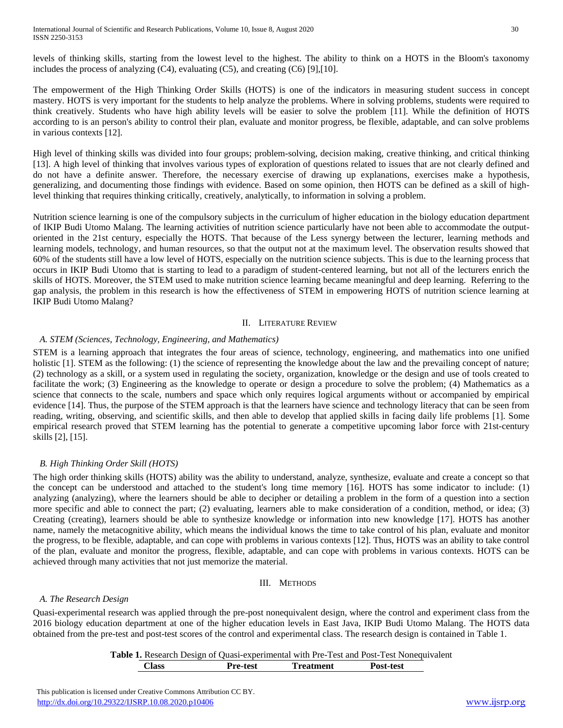levels of thinking skills, starting from the lowest level to the highest. The ability to think on a HOTS in the Bloom's taxonomy includes the process of analyzing  $(C4)$ , evaluating  $(C5)$ , and creating  $(C6)$  [9],[10].

The empowerment of the High Thinking Order Skills (HOTS) is one of the indicators in measuring student success in concept mastery. HOTS is very important for the students to help analyze the problems. Where in solving problems, students were required to think creatively. Students who have high ability levels will be easier to solve the problem [11]. While the definition of HOTS according to is an person's ability to control their plan, evaluate and monitor progress, be flexible, adaptable, and can solve problems in various contexts [12].

High level of thinking skills was divided into four groups; problem-solving, decision making, creative thinking, and critical thinking [13]. A high level of thinking that involves various types of exploration of questions related to issues that are not clearly defined and do not have a definite answer. Therefore, the necessary exercise of drawing up explanations, exercises make a hypothesis, generalizing, and documenting those findings with evidence. Based on some opinion, then HOTS can be defined as a skill of highlevel thinking that requires thinking critically, creatively, analytically, to information in solving a problem.

Nutrition science learning is one of the compulsory subjects in the curriculum of higher education in the biology education department of IKIP Budi Utomo Malang. The learning activities of nutrition science particularly have not been able to accommodate the outputoriented in the 21st century, especially the HOTS. That because of the Less synergy between the lecturer, learning methods and learning models, technology, and human resources, so that the output not at the maximum level. The observation results showed that 60% of the students still have a low level of HOTS, especially on the nutrition science subjects. This is due to the learning process that occurs in IKIP Budi Utomo that is starting to lead to a paradigm of student-centered learning, but not all of the lecturers enrich the skills of HOTS. Moreover, the STEM used to make nutrition science learning became meaningful and deep learning. Referring to the gap analysis, the problem in this research is how the effectiveness of STEM in empowering HOTS of nutrition science learning at IKIP Budi Utomo Malang?

### II. LITERATURE REVIEW

# *A. STEM (Sciences, Technology, Engineering, and Mathematics)*

STEM is a learning approach that integrates the four areas of science, technology, engineering, and mathematics into one unified holistic [1]. STEM as the following: (1) the science of representing the knowledge about the law and the prevailing concept of nature; (2) technology as a skill, or a system used in regulating the society, organization, knowledge or the design and use of tools created to facilitate the work; (3) Engineering as the knowledge to operate or design a procedure to solve the problem; (4) Mathematics as a science that connects to the scale, numbers and space which only requires logical arguments without or accompanied by empirical evidence [14]. Thus, the purpose of the STEM approach is that the learners have science and technology literacy that can be seen from reading, writing, observing, and scientific skills, and then able to develop that applied skills in facing daily life problems [1]. Some empirical research proved that STEM learning has the potential to generate a competitive upcoming labor force with 21st-century skills [2], [15].

# *B. High Thinking Order Skill (HOTS)*

The high order thinking skills (HOTS) ability was the ability to understand, analyze, synthesize, evaluate and create a concept so that the concept can be understood and attached to the student's long time memory [16]. HOTS has some indicator to include: (1) analyzing (analyzing), where the learners should be able to decipher or detailing a problem in the form of a question into a section more specific and able to connect the part; (2) evaluating, learners able to make consideration of a condition, method, or idea; (3) Creating (creating), learners should be able to synthesize knowledge or information into new knowledge [17]. HOTS has another name, namely the metacognitive ability, which means the individual knows the time to take control of his plan, evaluate and monitor the progress, to be flexible, adaptable, and can cope with problems in various contexts [12]. Thus, HOTS was an ability to take control of the plan, evaluate and monitor the progress, flexible, adaptable, and can cope with problems in various contexts. HOTS can be achieved through many activities that not just memorize the material.

# III. METHODS

# *A. The Research Design*

Quasi-experimental research was applied through the pre-post nonequivalent design, where the control and experiment class from the 2016 biology education department at one of the higher education levels in East Java, IKIP Budi Utomo Malang. The HOTS data obtained from the pre-test and post-test scores of the control and experimental class. The research design is contained in Table 1.

# **Table 1.** Research Design of Quasi-experimental with Pre-Test and Post-Test Nonequivalent **Class Pre-test Treatment Post-test**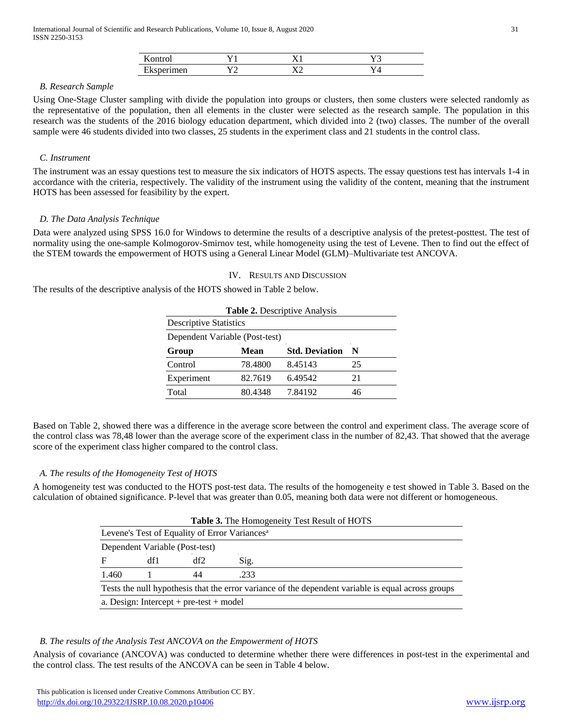| 170<br>,,,,, |                | $\mathbf{r}$ |
|--------------|----------------|--------------|
| <b>LAND</b>  | $\overline{r}$ |              |

#### *B. Research Sample*

Using One-Stage Cluster sampling with divide the population into groups or clusters, then some clusters were selected randomly as the representative of the population, then all elements in the cluster were selected as the research sample. The population in this research was the students of the 2016 biology education department, which divided into 2 (two) classes. The number of the overall sample were 46 students divided into two classes, 25 students in the experiment class and 21 students in the control class.

## *C. Instrument*

The instrument was an essay questions test to measure the six indicators of HOTS aspects. The essay questions test has intervals 1-4 in accordance with the criteria, respectively. The validity of the instrument using the validity of the content, meaning that the instrument HOTS has been assessed for feasibility by the expert.

### *D. The Data Analysis Technique*

Data were analyzed using SPSS 16.0 for Windows to determine the results of a descriptive analysis of the pretest-posttest. The test of normality using the one-sample Kolmogorov-Smirnov test, while homogeneity using the test of Levene. Then to find out the effect of the STEM towards the empowerment of HOTS using a General Linear Model (GLM)–Multivariate test ANCOVA.

## IV. RESULTS AND DISCUSSION

The results of the descriptive analysis of the HOTS showed in Table 2 below.

|                                |             | <b>Table 2. Descriptive Analysis</b> |     |
|--------------------------------|-------------|--------------------------------------|-----|
| <b>Descriptive Statistics</b>  |             |                                      |     |
| Dependent Variable (Post-test) |             |                                      |     |
| Group                          | <b>Mean</b> | <b>Std. Deviation</b>                | - N |
| Control                        | 78.4800     | 8.45143                              | 25  |
| Experiment                     | 82.7619     | 6.49542                              | 21  |
| Total                          | 80.4348     | 7.84192                              | 46  |

Based on Table 2, showed there was a difference in the average score between the control and experiment class. The average score of the control class was 78,48 lower than the average score of the experiment class in the number of 82,43. That showed that the average score of the experiment class higher compared to the control class.

#### *A. The results of the Homogeneity Test of HOTS*

A homogeneity test was conducted to the HOTS post-test data. The results of the homogeneity e test showed in Table 3. Based on the calculation of obtained significance. P-level that was greater than 0.05, meaning both data were not different or homogeneous.

| <b>Table 3.</b> The Homogeneity Test Result of HOTS                                                |     |                                |      |  |
|----------------------------------------------------------------------------------------------------|-----|--------------------------------|------|--|
| Levene's Test of Equality of Error Variances <sup>a</sup>                                          |     |                                |      |  |
|                                                                                                    |     | Dependent Variable (Post-test) |      |  |
| F                                                                                                  | df1 | df2                            | Sig. |  |
| 1.460                                                                                              |     | 44                             | .233 |  |
| Tests the null hypothesis that the error variance of the dependent variable is equal across groups |     |                                |      |  |
| a. Design: Intercept + pre-test + model                                                            |     |                                |      |  |

# *B. The results of the Analysis Test ANCOVA on the Empowerment of HOTS*

Analysis of covariance (ANCOVA) was conducted to determine whether there were differences in post-test in the experimental and the control class. The test results of the ANCOVA can be seen in Table 4 below.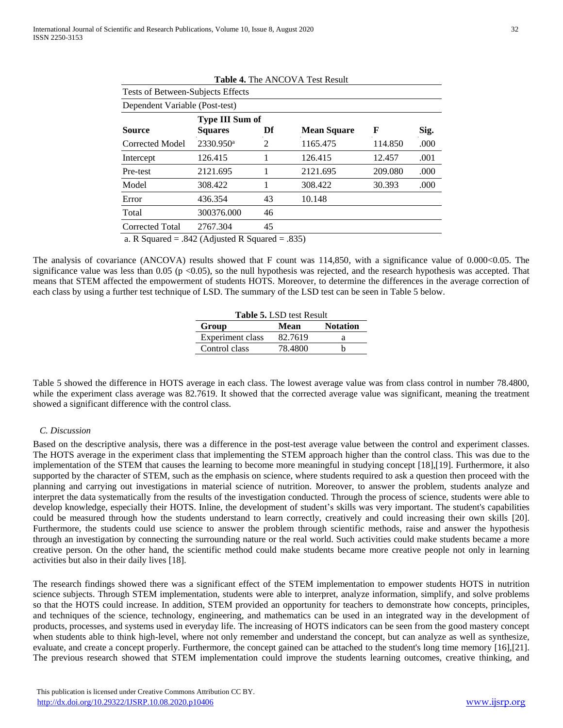Tests of Between-Subjects Effects

|  | <b>Table 4. The ANCOVA Test Result</b> |  |
|--|----------------------------------------|--|
|--|----------------------------------------|--|

| Dependent Variable (Post-test) |                                   |    |                    |         |      |
|--------------------------------|-----------------------------------|----|--------------------|---------|------|
| <b>Source</b>                  | Type III Sum of<br><b>Squares</b> | Df | <b>Mean Square</b> | F       | Sig. |
| Corrected Model                | 2330.950 <sup>a</sup>             | 2  | 1165.475           | 114.850 | .000 |
| Intercept                      | 126.415                           |    | 126.415            | 12.457  | .001 |
| Pre-test                       | 2121.695                          |    | 2121.695           | 209.080 | .000 |
| Model                          | 308.422                           |    | 308.422            | 30.393  | .000 |
| Error                          | 436.354                           | 43 | 10.148             |         |      |
| Total                          | 300376.000                        | 46 |                    |         |      |
| Corrected Total                | 2767.304                          | 45 |                    |         |      |

a. R Squared  $= .842$  (Adjusted R Squared  $= .835$ )

The analysis of covariance (ANCOVA) results showed that F count was 114,850, with a significance value of 0.000<0.05. The significance value was less than  $0.05$  (p <0.05), so the null hypothesis was rejected, and the research hypothesis was accepted. That means that STEM affected the empowerment of students HOTS. Moreover, to determine the differences in the average correction of each class by using a further test technique of LSD. The summary of the LSD test can be seen in Table 5 below.

| <b>Table 5. LSD test Result</b> |         |                 |  |  |
|---------------------------------|---------|-----------------|--|--|
| Group                           | Mean    | <b>Notation</b> |  |  |
| Experiment class                | 82.7619 | а               |  |  |
| Control class                   | 78.4800 |                 |  |  |
|                                 |         |                 |  |  |

Table 5 showed the difference in HOTS average in each class. The lowest average value was from class control in number 78.4800, while the experiment class average was 82.7619. It showed that the corrected average value was significant, meaning the treatment showed a significant difference with the control class.

## *C. Discussion*

Based on the descriptive analysis, there was a difference in the post-test average value between the control and experiment classes. The HOTS average in the experiment class that implementing the STEM approach higher than the control class. This was due to the implementation of the STEM that causes the learning to become more meaningful in studying concept [18],[19]. Furthermore, it also supported by the character of STEM, such as the emphasis on science, where students required to ask a question then proceed with the planning and carrying out investigations in material science of nutrition. Moreover, to answer the problem, students analyze and interpret the data systematically from the results of the investigation conducted. Through the process of science, students were able to develop knowledge, especially their HOTS. Inline, the development of student's skills was very important. The student's capabilities could be measured through how the students understand to learn correctly, creatively and could increasing their own skills [20]. Furthermore, the students could use science to answer the problem through scientific methods, raise and answer the hypothesis through an investigation by connecting the surrounding nature or the real world. Such activities could make students became a more creative person. On the other hand, the scientific method could make students became more creative people not only in learning activities but also in their daily lives [18].

The research findings showed there was a significant effect of the STEM implementation to empower students HOTS in nutrition science subjects. Through STEM implementation, students were able to interpret, analyze information, simplify, and solve problems so that the HOTS could increase. In addition, STEM provided an opportunity for teachers to demonstrate how concepts, principles, and techniques of the science, technology, engineering, and mathematics can be used in an integrated way in the development of products, processes, and systems used in everyday life. The increasing of HOTS indicators can be seen from the good mastery concept when students able to think high-level, where not only remember and understand the concept, but can analyze as well as synthesize, evaluate, and create a concept properly. Furthermore, the concept gained can be attached to the student's long time memory [16],[21]. The previous research showed that STEM implementation could improve the students learning outcomes, creative thinking, and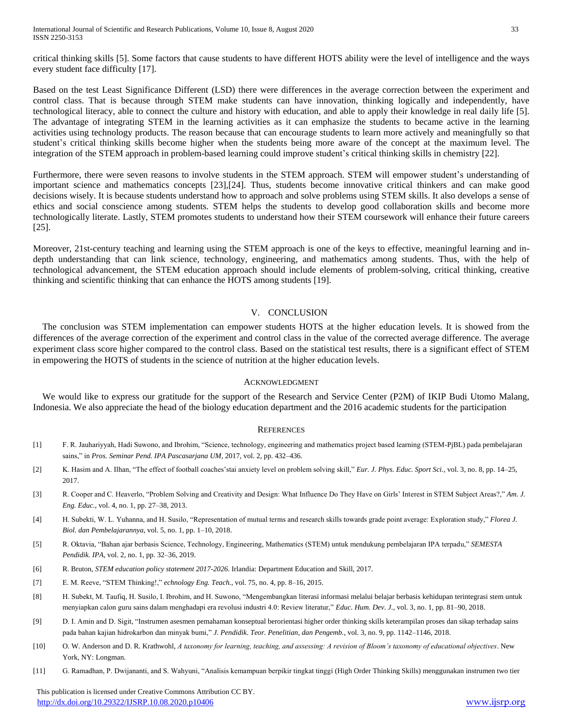critical thinking skills [5]. Some factors that cause students to have different HOTS ability were the level of intelligence and the ways every student face difficulty [17].

Based on the test Least Significance Different (LSD) there were differences in the average correction between the experiment and control class. That is because through STEM make students can have innovation, thinking logically and independently, have technological literacy, able to connect the culture and history with education, and able to apply their knowledge in real daily life [5]. The advantage of integrating STEM in the learning activities as it can emphasize the students to became active in the learning activities using technology products. The reason because that can encourage students to learn more actively and meaningfully so that student's critical thinking skills become higher when the students being more aware of the concept at the maximum level. The integration of the STEM approach in problem-based learning could improve student's critical thinking skills in chemistry [22].

Furthermore, there were seven reasons to involve students in the STEM approach. STEM will empower student's understanding of important science and mathematics concepts [23],[24]. Thus, students become innovative critical thinkers and can make good decisions wisely. It is because students understand how to approach and solve problems using STEM skills. It also develops a sense of ethics and social conscience among students. STEM helps the students to develop good collaboration skills and become more technologically literate. Lastly, STEM promotes students to understand how their STEM coursework will enhance their future careers [25].

Moreover, 21st-century teaching and learning using the STEM approach is one of the keys to effective, meaningful learning and indepth understanding that can link science, technology, engineering, and mathematics among students. Thus, with the help of technological advancement, the STEM education approach should include elements of problem-solving, critical thinking, creative thinking and scientific thinking that can enhance the HOTS among students [19].

#### V. CONCLUSION

The conclusion was STEM implementation can empower students HOTS at the higher education levels. It is showed from the differences of the average correction of the experiment and control class in the value of the corrected average difference. The average experiment class score higher compared to the control class. Based on the statistical test results, there is a significant effect of STEM in empowering the HOTS of students in the science of nutrition at the higher education levels.

#### ACKNOWLEDGMENT

We would like to express our gratitude for the support of the Research and Service Center (P2M) of IKIP Budi Utomo Malang, Indonesia. We also appreciate the head of the biology education department and the 2016 academic students for the participation

#### **REFERENCES**

- [1] F. R. Jauhariyyah, Hadi Suwono, and Ibrohim, "Science, technology, engineering and mathematics project based learning (STEM-PjBL) pada pembelajaran sains," in *Pros. Seminar Pend. IPA Pascasarjana UM*, 2017, vol. 2, pp. 432–436.
- [2] K. Hasim and A. Ilhan, "The effect of football coaches'stai anxiety level on problem solving skill," *Eur. J. Phys. Educ. Sport Sci.*, vol. 3, no. 8, pp. 14–25, 2017.
- [3] R. Cooper and C. Heaverlo, "Problem Solving and Creativity and Design: What Influence Do They Have on Girls' Interest in STEM Subject Areas?," *Am. J. Eng. Educ.*, vol. 4, no. 1, pp. 27–38, 2013.
- [4] H. Subekti, W. L. Yuhanna, and H. Susilo, "Representation of mutual terms and research skills towards grade point average: Exploration study," *Florea J. Biol. dan Pembelajarannya*, vol. 5, no. 1, pp. 1–10, 2018.
- [5] R. Oktavia, "Bahan ajar berbasis Science, Technology, Engineering, Mathematics (STEM) untuk mendukung pembelajaran IPA terpadu," *SEMESTA Pendidik. IPA*, vol. 2, no. 1, pp. 32–36, 2019.
- [6] R. Bruton, *STEM education policy statement 2017-2026*. Irlandia: Department Education and Skill, 2017.
- [7] E. M. Reeve, "STEM Thinking!," *echnology Eng. Teach.*, vol. 75, no. 4, pp. 8–16, 2015.
- [8] H. Subekt, M. Taufiq, H. Susilo, I. Ibrohim, and H. Suwono, "Mengembangkan literasi informasi melalui belajar berbasis kehidupan terintegrasi stem untuk menyiapkan calon guru sains dalam menghadapi era revolusi industri 4.0: Review literatur," *Educ. Hum. Dev. J.*, vol. 3, no. 1, pp. 81–90, 2018.
- [9] D. I. Amin and D. Sigit, "Instrumen asesmen pemahaman konseptual berorientasi higher order thinking skills keterampilan proses dan sikap terhadap sains pada bahan kajian hidrokarbon dan minyak bumi," *J. Pendidik. Teor. Penelitian, dan Pengemb.*, vol. 3, no. 9, pp. 1142–1146, 2018.
- [10] O. W. Anderson and D. R. Krathwohl, *A taxonomy for learning, teaching, and assessing: A revision of Bloom's taxonomy of educational objectives*. New York, NY: Longman.
- [11] G. Ramadhan, P. Dwijananti, and S. Wahyuni, "Analisis kemampuan berpikir tingkat tinggi (High Order Thinking Skills) menggunakan instrumen two tier

 This publication is licensed under Creative Commons Attribution CC BY. <http://dx.doi.org/10.29322/IJSRP.10.08.2020.p10406> [www.ijsrp.org](http://ijsrp.org/)